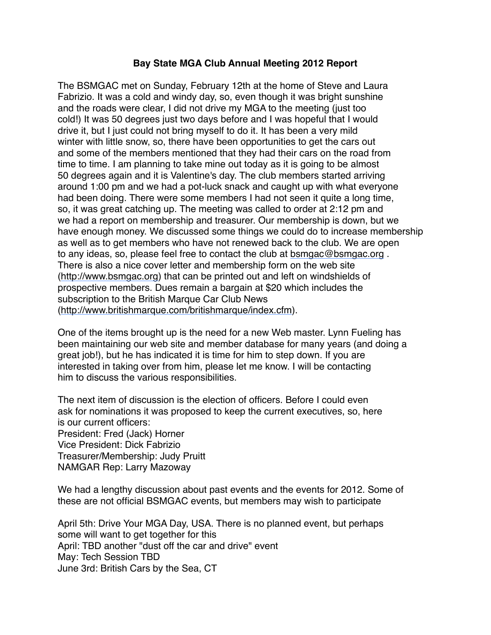## **Bay State MGA Club Annual Meeting 2012 Report**

The BSMGAC met on Sunday, February 12th at the home of Steve and Laura Fabrizio. It was a cold and windy day, so, even though it was bright sunshine and the roads were clear, I did not drive my MGA to the meeting (just too cold!) It was 50 degrees just two days before and I was hopeful that I would drive it, but I just could not bring myself to do it. It has been a very mild winter with little snow, so, there have been opportunities to get the cars out and some of the members mentioned that they had their cars on the road from time to time. I am planning to take mine out today as it is going to be almost 50 degrees again and it is Valentine's day. The club members started arriving around 1:00 pm and we had a pot-luck snack and caught up with what everyone had been doing. There were some members I had not seen it quite a long time, so, it was great catching up. The meeting was called to order at 2:12 pm and we had a report on membership and treasurer. Our membership is down, but we have enough money. We discussed some things we could do to increase membership as well as to get members who have not renewed back to the club. We are open to any ideas, so, please feel free to contact the club at [bsmgac@bsmgac.org](mailto:bsmgac@bsmgac.org) . There is also a nice cover letter and membership form on the web site ([http://www.bsmgac.org](http://www.bsmgac.org/)) that can be printed out and left on windshields of prospective members. Dues remain a bargain at \$20 which includes the subscription to the British Marque Car Club News (<http://www.britishmarque.com/britishmarque/index.cfm>).

One of the items brought up is the need for a new Web master. Lynn Fueling has been maintaining our web site and member database for many years (and doing a great job!), but he has indicated it is time for him to step down. If you are interested in taking over from him, please let me know. I will be contacting him to discuss the various responsibilities.

The next item of discussion is the election of officers. Before I could even ask for nominations it was proposed to keep the current executives, so, here is our current officers: President: Fred (Jack) Horner Vice President: Dick Fabrizio Treasurer/Membership: Judy Pruitt NAMGAR Rep: Larry Mazoway

We had a lengthy discussion about past events and the events for 2012. Some of these are not official BSMGAC events, but members may wish to participate

April 5th: Drive Your MGA Day, USA. There is no planned event, but perhaps some will want to get together for this April: TBD another "dust off the car and drive" event May: Tech Session TBD June 3rd: British Cars by the Sea, CT